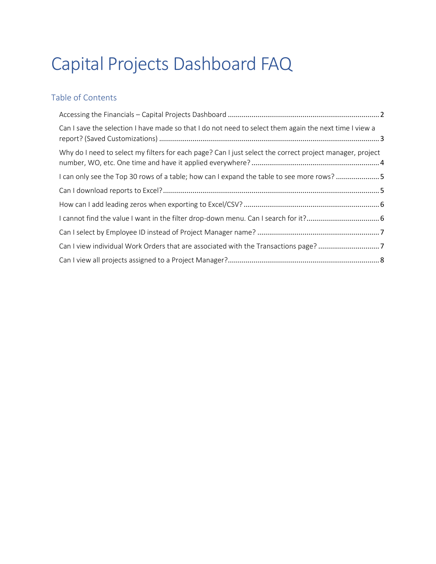# Capital Projects Dashboard FAQ

# Table of Contents

| Can I save the selection I have made so that I do not need to select them again the next time I view a   |  |
|----------------------------------------------------------------------------------------------------------|--|
| Why do I need to select my filters for each page? Can I just select the correct project manager, project |  |
| I can only see the Top 30 rows of a table; how can I expand the table to see more rows? 5                |  |
|                                                                                                          |  |
|                                                                                                          |  |
|                                                                                                          |  |
|                                                                                                          |  |
| Can I view individual Work Orders that are associated with the Transactions page? 7                      |  |
|                                                                                                          |  |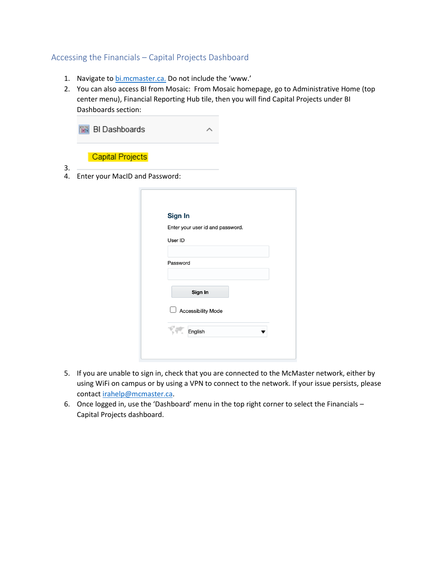# <span id="page-1-0"></span>Accessing the Financials – Capital Projects Dashboard

- 1. Navigate to [bi.mcmaster.ca.](http://bi.mcmaster.ca/) Do not include the 'www.'
- 2. You can also access BI from Mosaic: From Mosaic homepage, go to Administrative Home (top center menu), Financial Reporting Hub tile, then you will find Capital Projects under BI Dashboards section:

|          | <b>BI Dashboards</b>           |  |
|----------|--------------------------------|--|
|          | <b>Capital Projects</b>        |  |
| 3.<br>4. | Enter your MacID and Password: |  |
|          |                                |  |

 $3.4.$ 

| <b>Sign In</b> |                                  |  |
|----------------|----------------------------------|--|
|                | Enter your user id and password. |  |
| User ID        |                                  |  |
| Password       |                                  |  |
|                | Sign In                          |  |
|                | Accessibility Mode               |  |
|                | English                          |  |

- 5. If you are unable to sign in, check that you are connected to the McMaster network, either by using WiFi on campus or by using a VPN to connect to the network. If your issue persists, please contact [irahelp@mcmaster.ca.](mailto:irahelp@mcmaster.ca)
- 6. Once logged in, use the 'Dashboard' menu in the top right corner to select the Financials Capital Projects dashboard.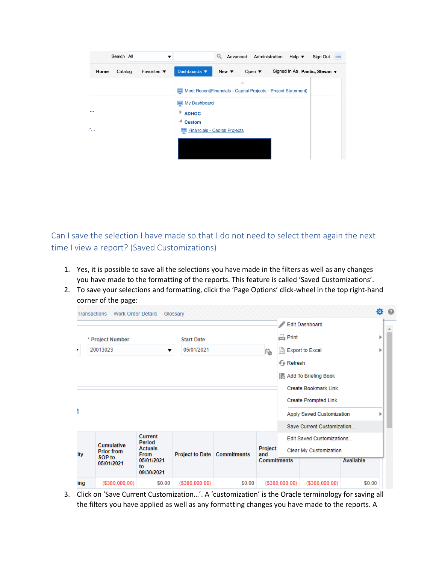| Search All                                        | Advanced<br>Q<br>Administration<br>Help $\blacktriangledown$<br>Sign Out <b>III</b>                           |
|---------------------------------------------------|---------------------------------------------------------------------------------------------------------------|
| Favorites $\blacktriangledown$<br>Home<br>Catalog | Dashboards <b>v</b><br>Signed In As Pantic, Stevan ▼<br>Open $\blacktriangledown$<br>New $\blacktriangledown$ |
|                                                   | $\mathcal{L}_{\mathcal{N}}$                                                                                   |
|                                                   | Most Recent(Financials - Capital Projects - Project Statement)                                                |
|                                                   | <b>ED</b> My Dashboard                                                                                        |
| $\cdots$                                          | $*$ ADHOC                                                                                                     |
|                                                   | ◢<br><b>Custom</b>                                                                                            |
| $r_{\text{max}}$                                  | <b>ED</b> Financials - Capital Projects                                                                       |
|                                                   |                                                                                                               |
|                                                   |                                                                                                               |
|                                                   |                                                                                                               |

<span id="page-2-0"></span>Can I save the selection I have made so that I do not need to select them again the next time I view a report? (Saved Customizations)

- 1. Yes, it is possible to save all the selections you have made in the filters as well as any changes you have made to the formatting of the reports. This feature is called 'Saved Customizations'.
- 2. To save your selections and formatting, click the 'Page Options' click-wheel in the top right-hand corner of the page:

|      | <b>Transactions</b><br><b>Work Order Details</b>        |                                                                                      | Glossary                             |        |                                      |                      |                                                                                        |           | 舂 |
|------|---------------------------------------------------------|--------------------------------------------------------------------------------------|--------------------------------------|--------|--------------------------------------|----------------------|----------------------------------------------------------------------------------------|-----------|---|
|      | * Project Number                                        |                                                                                      | <b>Start Date</b>                    |        |                                      | $\Box$ Print         | <b>Edit Dashboard</b>                                                                  |           | ь |
| ,    | 20013023                                                | ▼                                                                                    | 05/01/2021                           |        | Ë                                    | + Refresh            | exil Export to Excel<br><b>Add To Briefing Book</b><br><b>Create Bookmark Link</b>     |           |   |
|      |                                                         |                                                                                      |                                      |        |                                      |                      | <b>Create Prompted Link</b><br>Apply Saved Customization<br>Save Current Customization |           |   |
| ity  | Cumulative<br><b>Prior from</b><br>SOP to<br>05/01/2021 | Current<br>Period<br><b>Actuals</b><br><b>From</b><br>05/01/2021<br>to<br>09/30/2021 | <b>Project to Date   Commitments</b> |        | Project<br>and<br><b>Commitments</b> |                      | <b>Edit Saved Customizations</b><br>Clear My Customization                             | Available |   |
| ling | (\$380,000.00)                                          | \$0.00                                                                               | $($ \$380,000.00 $)$                 | \$0.00 |                                      | $($ \$380,000.00 $)$ | $($ \$380,000.00)                                                                      | \$0.00    |   |

3. Click on 'Save Current Customization…'. A 'customization' is the Oracle terminology for saving all the filters you have applied as well as any formatting changes you have made to the reports. A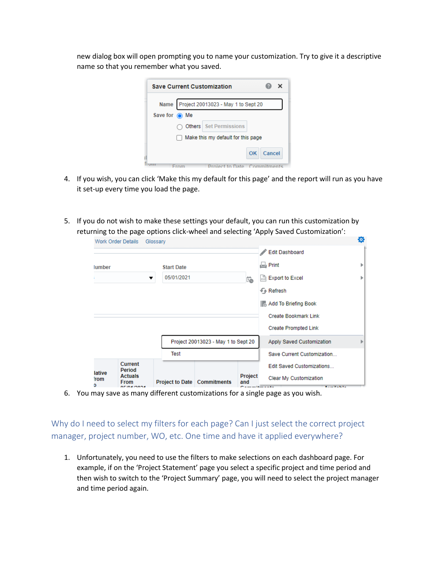new dialog box will open prompting you to name your customization. Try to give it a descriptive name so that you remember what you saved.

| <b>Save Current Customization</b>          |        |  |
|--------------------------------------------|--------|--|
| Name Project 20013023 - May 1 to Sept 20   |        |  |
| Save for $\odot$ Me                        |        |  |
| <b>Others</b> Set Permissions              |        |  |
| Make this my default for this page         |        |  |
| OK                                         | Cancel |  |
| <b>Project to Date Commitments</b><br>Erom |        |  |

- 4. If you wish, you can click 'Make this my default for this page' and the report will run as you have it set-up every time you load the page.
- 5. If you do not wish to make these settings your default, you can run this customization by returning to the page options click-wheel and selecting 'Apply Saved Customization':

|                 | <b>Work Order Details</b>                          | Glossary          |                                      |                |                                                                                                                                                                                                                                                                                                | ø |
|-----------------|----------------------------------------------------|-------------------|--------------------------------------|----------------|------------------------------------------------------------------------------------------------------------------------------------------------------------------------------------------------------------------------------------------------------------------------------------------------|---|
|                 |                                                    |                   |                                      |                | <b>Edit Dashboard</b>                                                                                                                                                                                                                                                                          |   |
| lumber          |                                                    | <b>Start Date</b> |                                      |                | $\Box$ Print                                                                                                                                                                                                                                                                                   | r |
|                 |                                                    | 05/01/2021<br>▼   |                                      | Ë              | exil Export to Excel                                                                                                                                                                                                                                                                           | r |
|                 |                                                    |                   |                                      |                | + Refresh                                                                                                                                                                                                                                                                                      |   |
|                 |                                                    |                   |                                      |                | <b>Add To Briefing Book</b>                                                                                                                                                                                                                                                                    |   |
|                 |                                                    |                   |                                      |                | <b>Create Bookmark Link</b>                                                                                                                                                                                                                                                                    |   |
|                 |                                                    |                   |                                      |                | <b>Create Prompted Link</b>                                                                                                                                                                                                                                                                    |   |
|                 |                                                    |                   | Project 20013023 - May 1 to Sept 20  |                | Apply Saved Customization                                                                                                                                                                                                                                                                      | ь |
|                 |                                                    | Test              |                                      |                | Save Current Customization                                                                                                                                                                                                                                                                     |   |
| lative          | <b>Current</b><br>Period                           |                   |                                      |                | <b>Edit Saved Customizations</b>                                                                                                                                                                                                                                                               |   |
| <b>rom</b><br>D | <b>Actuals</b><br><b>From</b><br><b>AFIAAIAAAA</b> |                   | <b>Project to Date   Commitments</b> | Project<br>and | Clear My Customization<br>$\sim$ . The second contract of the second contract of the second contract of the second contract of the second contract of the second contract of the second contract of the second contract of the second contract of the sec<br><b>Contract Contract Contract</b> |   |

6. You may save as many different customizations for a single page as you wish.

<span id="page-3-0"></span>Why do I need to select my filters for each page? Can I just select the correct project manager, project number, WO, etc. One time and have it applied everywhere?

1. Unfortunately, you need to use the filters to make selections on each dashboard page. For example, if on the 'Project Statement' page you select a specific project and time period and then wish to switch to the 'Project Summary' page, you will need to select the project manager and time period again.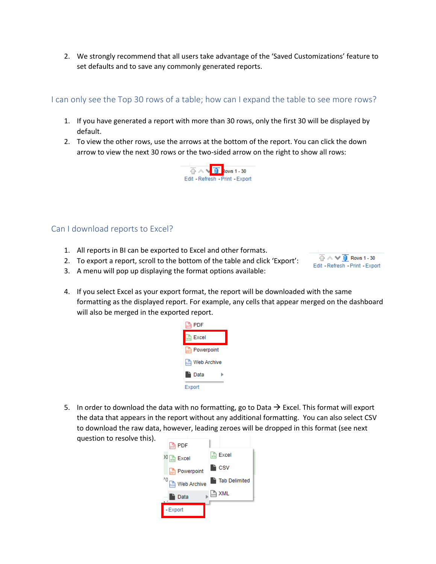2. We strongly recommend that all users take advantage of the 'Saved Customizations' feature to set defaults and to save any commonly generated reports.

# <span id="page-4-0"></span>I can only see the Top 30 rows of a table; how can I expand the table to see more rows?

- 1. If you have generated a report with more than 30 rows, only the first 30 will be displayed by default.
- 2. To view the other rows, use the arrows at the bottom of the report. You can click the down arrow to view the next 30 rows or the two-sided arrow on the right to show all rows:



## <span id="page-4-1"></span>Can I download reports to Excel?

- 1. All reports in BI can be exported to Excel and other formats.
- 2. To export a report, scroll to the bottom of the table and click 'Export':



- 3. A menu will pop up displaying the format options available:
- 4. If you select Excel as your export format, the report will be downloaded with the same formatting as the displayed report. For example, any cells that appear merged on the dashboard will also be merged in the exported report.



5. In order to download the data with no formatting, go to Data  $\rightarrow$  Excel. This format will export the data that appears in the report without any additional formatting. You can also select CSV to download the raw data, however, leading zeroes will be dropped in this format (see next question to resolve this).

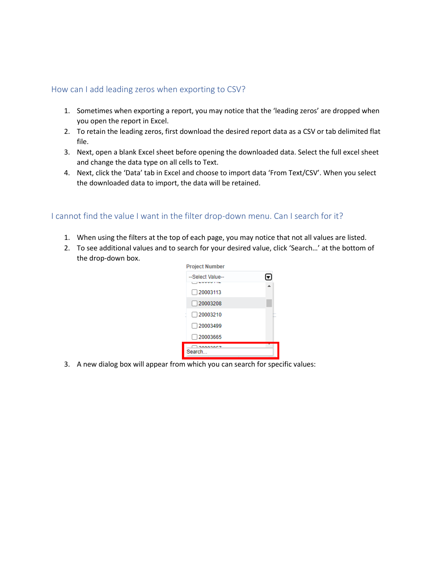# <span id="page-5-0"></span>How can I add leading zeros when exporting to CSV?

- 1. Sometimes when exporting a report, you may notice that the 'leading zeros' are dropped when you open the report in Excel.
- 2. To retain the leading zeros, first download the desired report data as a CSV or tab delimited flat file.
- 3. Next, open a blank Excel sheet before opening the downloaded data. Select the full excel sheet and change the data type on all cells to Text.
- 4. Next, click the 'Data' tab in Excel and choose to import data 'From Text/CSV'. When you select the downloaded data to import, the data will be retained.

## <span id="page-5-1"></span>I cannot find the value I want in the filter drop-down menu. Can I search for it?

- 1. When using the filters at the top of each page, you may notice that not all values are listed.
- 2. To see additional values and to search for your desired value, click 'Search…' at the bottom of the drop-down box.



3. A new dialog box will appear from which you can search for specific values: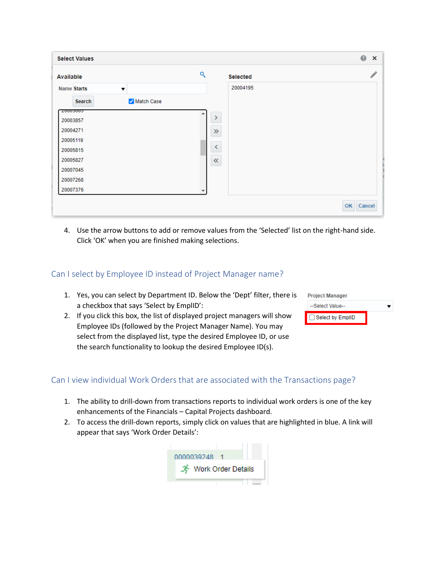| <b>Select Values</b>                       |                          | $\circledcirc$<br>$\times$ |
|--------------------------------------------|--------------------------|----------------------------|
| <b>Available</b>                           | ্<br><b>Selected</b>     |                            |
| <b>Name Starts</b><br>$\blacktriangledown$ | 20004195                 |                            |
| Match Case<br>Search                       |                          |                            |
| COOCOOD<br>20003857                        | $\rightarrow$            |                            |
| 20004271                                   | $\gg$                    |                            |
| 20005119                                   |                          |                            |
| 20005815                                   | $\overline{\phantom{0}}$ |                            |
| 20005827                                   | $\ll$                    |                            |
| 20007045                                   |                          |                            |
| 20007268                                   |                          |                            |
| 20007376                                   | $\overline{\phantom{a}}$ |                            |

4. Use the arrow buttons to add or remove values from the 'Selected' list on the right-hand side. Click 'OK' when you are finished making selections.

## <span id="page-6-0"></span>Can I select by Employee ID instead of Project Manager name?

- 1. Yes, you can select by Department ID. Below the 'Dept' filter, there is a checkbox that says 'Select by EmplID':
- 2. If you click this box, the list of displayed project managers will show Employee IDs (followed by the Project Manager Name). You may select from the displayed list, type the desired Employee ID, or use the search functionality to lookup the desired Employee ID(s).

| <b>Project Manager</b> |  |
|------------------------|--|
| --Select Value--       |  |
| Select by EmplID       |  |

# <span id="page-6-1"></span>Can I view individual Work Orders that are associated with the Transactions page?

- 1. The ability to drill-down from transactions reports to individual work orders is one of the key enhancements of the Financials – Capital Projects dashboard.
- 2. To access the drill-down reports, simply click on values that are highlighted in blue. A link will appear that says 'Work Order Details':